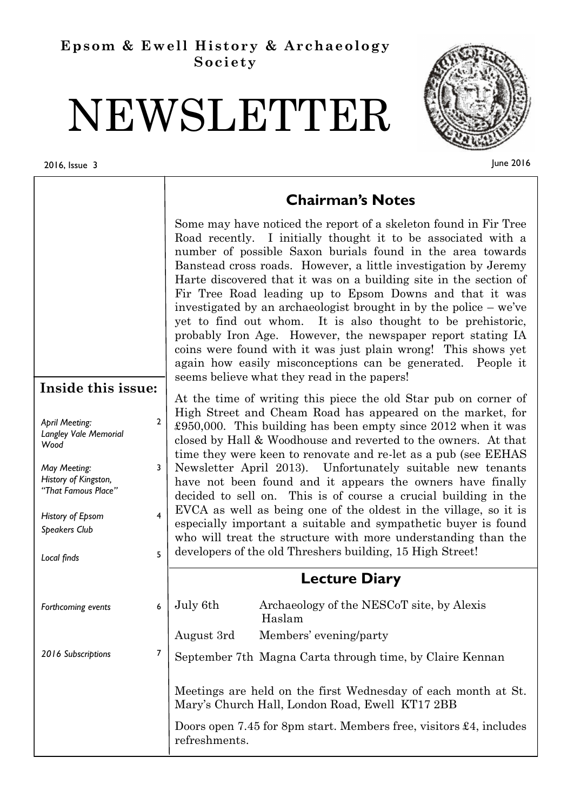# **Epsom & Ewell History & Archaeology Society**

# NEWSLETTER

#### 2016, Issue 3



June 2016

|              | <b>Chairman's Notes</b>                                                                                                                                                                                                                                                                                                                                                                                                                                                                                                                                                                                                                                                                                                                                                              |
|--------------|--------------------------------------------------------------------------------------------------------------------------------------------------------------------------------------------------------------------------------------------------------------------------------------------------------------------------------------------------------------------------------------------------------------------------------------------------------------------------------------------------------------------------------------------------------------------------------------------------------------------------------------------------------------------------------------------------------------------------------------------------------------------------------------|
|              | Some may have noticed the report of a skeleton found in Fir Tree<br>Road recently. I initially thought it to be associated with a<br>number of possible Saxon burials found in the area towards<br>Banstead cross roads. However, a little investigation by Jeremy<br>Harte discovered that it was on a building site in the section of<br>Fir Tree Road leading up to Epsom Downs and that it was<br>investigated by an archaeologist brought in by the police – we've<br>yet to find out whom. It is also thought to be prehistoric,<br>probably Iron Age. However, the newspaper report stating IA<br>coins were found with it was just plain wrong! This shows yet<br>again how easily misconceptions can be generated. People it<br>seems believe what they read in the papers! |
|              |                                                                                                                                                                                                                                                                                                                                                                                                                                                                                                                                                                                                                                                                                                                                                                                      |
| $\mathbf{2}$ | At the time of writing this piece the old Star pub on corner of<br>High Street and Cheam Road has appeared on the market, for<br>£950,000. This building has been empty since 2012 when it was<br>closed by Hall & Woodhouse and reverted to the owners. At that<br>time they were keen to renovate and re-let as a pub (see EEHAS                                                                                                                                                                                                                                                                                                                                                                                                                                                   |
|              | Newsletter April 2013). Unfortunately suitable new tenants<br>have not been found and it appears the owners have finally<br>decided to sell on. This is of course a crucial building in the                                                                                                                                                                                                                                                                                                                                                                                                                                                                                                                                                                                          |
| 4            | EVCA as well as being one of the oldest in the village, so it is<br>especially important a suitable and sympathetic buyer is found<br>who will treat the structure with more understanding than the                                                                                                                                                                                                                                                                                                                                                                                                                                                                                                                                                                                  |
| 5            | developers of the old Threshers building, 15 High Street!                                                                                                                                                                                                                                                                                                                                                                                                                                                                                                                                                                                                                                                                                                                            |
|              | <b>Lecture Diary</b>                                                                                                                                                                                                                                                                                                                                                                                                                                                                                                                                                                                                                                                                                                                                                                 |
| 6            | July 6th<br>Archaeology of the NESCoT site, by Alexis<br>Haslam                                                                                                                                                                                                                                                                                                                                                                                                                                                                                                                                                                                                                                                                                                                      |
|              | Members' evening/party<br>August 3rd                                                                                                                                                                                                                                                                                                                                                                                                                                                                                                                                                                                                                                                                                                                                                 |
| 7            | September 7th Magna Carta through time, by Claire Kennan                                                                                                                                                                                                                                                                                                                                                                                                                                                                                                                                                                                                                                                                                                                             |
|              | Meetings are held on the first Wednesday of each month at St.<br>Mary's Church Hall, London Road, Ewell KT17 2BB                                                                                                                                                                                                                                                                                                                                                                                                                                                                                                                                                                                                                                                                     |
|              | Doors open 7.45 for 8pm start. Members free, visitors $\pounds$ 4, includes                                                                                                                                                                                                                                                                                                                                                                                                                                                                                                                                                                                                                                                                                                          |
|              | Inside this issue:<br>3                                                                                                                                                                                                                                                                                                                                                                                                                                                                                                                                                                                                                                                                                                                                                              |

# **Chairman's Notes**

# **Lecture Diary**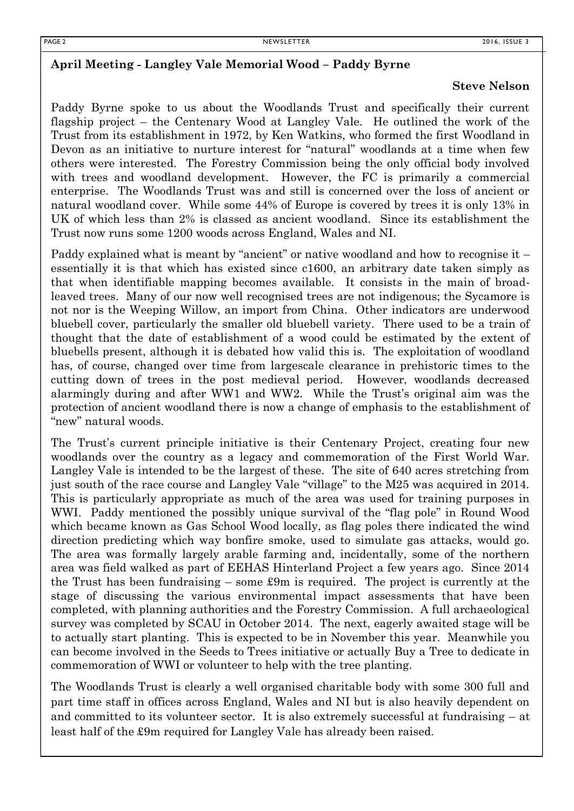#### **April Meeting - Langley Vale Memorial Wood – Paddy Byrne**

#### **Steve Nelson**

Paddy Byrne spoke to us about the Woodlands Trust and specifically their current flagship project – the Centenary Wood at Langley Vale. He outlined the work of the Trust from its establishment in 1972, by Ken Watkins, who formed the first Woodland in Devon as an initiative to nurture interest for "natural" woodlands at a time when few others were interested. The Forestry Commission being the only official body involved with trees and woodland development. However, the FC is primarily a commercial enterprise. The Woodlands Trust was and still is concerned over the loss of ancient or natural woodland cover. While some 44% of Europe is covered by trees it is only 13% in UK of which less than 2% is classed as ancient woodland. Since its establishment the Trust now runs some 1200 woods across England, Wales and NI.

Paddy explained what is meant by "ancient" or native woodland and how to recognise it – essentially it is that which has existed since c1600, an arbitrary date taken simply as that when identifiable mapping becomes available. It consists in the main of broadleaved trees. Many of our now well recognised trees are not indigenous; the Sycamore is not nor is the Weeping Willow, an import from China. Other indicators are underwood bluebell cover, particularly the smaller old bluebell variety. There used to be a train of thought that the date of establishment of a wood could be estimated by the extent of bluebells present, although it is debated how valid this is. The exploitation of woodland has, of course, changed over time from largescale clearance in prehistoric times to the cutting down of trees in the post medieval period. However, woodlands decreased alarmingly during and after WW1 and WW2. While the Trust's original aim was the protection of ancient woodland there is now a change of emphasis to the establishment of "new" natural woods.

The Trust's current principle initiative is their Centenary Project, creating four new woodlands over the country as a legacy and commemoration of the First World War. Langley Vale is intended to be the largest of these. The site of 640 acres stretching from just south of the race course and Langley Vale "village" to the M25 was acquired in 2014. This is particularly appropriate as much of the area was used for training purposes in WWI. Paddy mentioned the possibly unique survival of the "flag pole" in Round Wood which became known as Gas School Wood locally, as flag poles there indicated the wind direction predicting which way bonfire smoke, used to simulate gas attacks, would go. The area was formally largely arable farming and, incidentally, some of the northern area was field walked as part of EEHAS Hinterland Project a few years ago. Since 2014 the Trust has been fundraising – some £9m is required. The project is currently at the stage of discussing the various environmental impact assessments that have been completed, with planning authorities and the Forestry Commission. A full archaeological survey was completed by SCAU in October 2014. The next, eagerly awaited stage will be to actually start planting. This is expected to be in November this year. Meanwhile you can become involved in the Seeds to Trees initiative or actually Buy a Tree to dedicate in commemoration of WWI or volunteer to help with the tree planting.

The Woodlands Trust is clearly a well organised charitable body with some 300 full and part time staff in offices across England, Wales and NI but is also heavily dependent on and committed to its volunteer sector. It is also extremely successful at fundraising – at least half of the £9m required for Langley Vale has already been raised.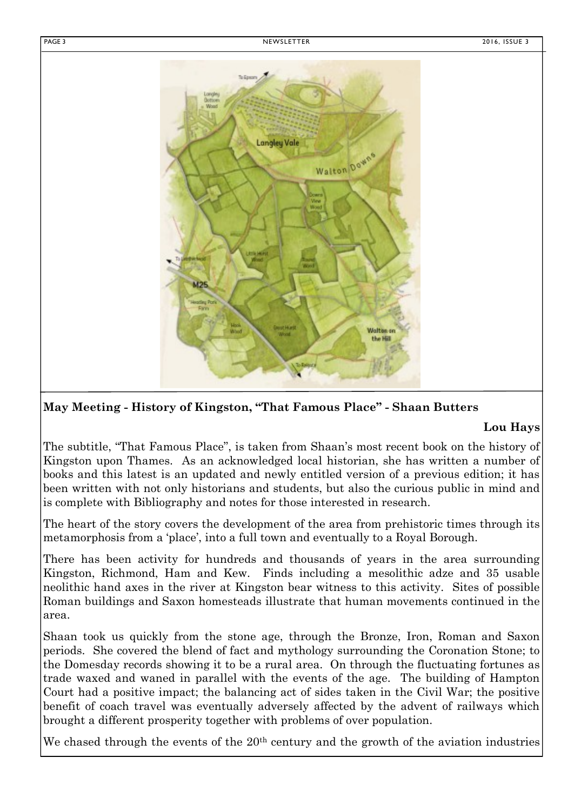

#### **May Meeting - History of Kingston, "That Famous Place" - Shaan Butters**

#### **Lou Hays**

The subtitle, "That Famous Place", is taken from Shaan's most recent book on the history of Kingston upon Thames. As an acknowledged local historian, she has written a number of books and this latest is an updated and newly entitled version of a previous edition; it has been written with not only historians and students, but also the curious public in mind and is complete with Bibliography and notes for those interested in research.

The heart of the story covers the development of the area from prehistoric times through its metamorphosis from a 'place', into a full town and eventually to a Royal Borough.

There has been activity for hundreds and thousands of years in the area surrounding Kingston, Richmond, Ham and Kew. Finds including a mesolithic adze and 35 usable neolithic hand axes in the river at Kingston bear witness to this activity. Sites of possible Roman buildings and Saxon homesteads illustrate that human movements continued in the area.

Shaan took us quickly from the stone age, through the Bronze, Iron, Roman and Saxon periods. She covered the blend of fact and mythology surrounding the Coronation Stone; to the Domesday records showing it to be a rural area. On through the fluctuating fortunes as trade waxed and waned in parallel with the events of the age. The building of Hampton Court had a positive impact; the balancing act of sides taken in the Civil War; the positive benefit of coach travel was eventually adversely affected by the advent of railways which brought a different prosperity together with problems of over population.

We chased through the events of the  $20<sup>th</sup>$  century and the growth of the aviation industries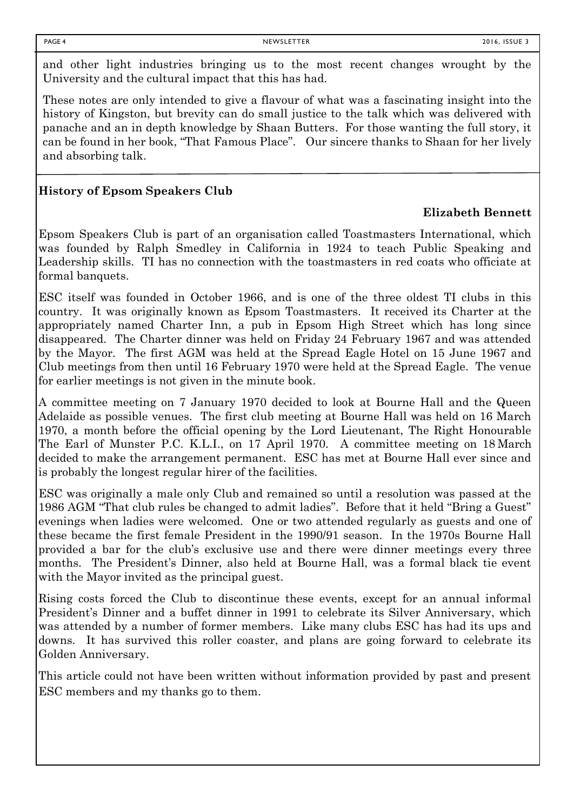and other light industries bringing us to the most recent changes wrought by the University and the cultural impact that this has had.

These notes are only intended to give a flavour of what was a fascinating insight into the history of Kingston, but brevity can do small justice to the talk which was delivered with panache and an in depth knowledge by Shaan Butters. For those wanting the full story, it can be found in her book, "That Famous Place". Our sincere thanks to Shaan for her lively and absorbing talk.

## **History of Epsom Speakers Club**

#### **Elizabeth Bennett**

Epsom Speakers Club is part of an organisation called Toastmasters International, which was founded by Ralph Smedley in California in 1924 to teach Public Speaking and Leadership skills. TI has no connection with the toastmasters in red coats who officiate at formal banquets.

ESC itself was founded in October 1966, and is one of the three oldest TI clubs in this country. It was originally known as Epsom Toastmasters. It received its Charter at the appropriately named Charter Inn, a pub in Epsom High Street which has long since disappeared. The Charter dinner was held on Friday 24 February 1967 and was attended by the Mayor. The first AGM was held at the Spread Eagle Hotel on 15 June 1967 and Club meetings from then until 16 February 1970 were held at the Spread Eagle. The venue for earlier meetings is not given in the minute book.

A committee meeting on 7 January 1970 decided to look at Bourne Hall and the Queen Adelaide as possible venues. The first club meeting at Bourne Hall was held on 16 March 1970, a month before the official opening by the Lord Lieutenant, The Right Honourable The Earl of Munster P.C. K.L.I., on 17 April 1970. A committee meeting on 18 March decided to make the arrangement permanent. ESC has met at Bourne Hall ever since and is probably the longest regular hirer of the facilities.

ESC was originally a male only Club and remained so until a resolution was passed at the 1986 AGM "That club rules be changed to admit ladies". Before that it held "Bring a Guest" evenings when ladies were welcomed. One or two attended regularly as guests and one of these became the first female President in the 1990/91 season. In the 1970s Bourne Hall provided a bar for the club's exclusive use and there were dinner meetings every three months. The President's Dinner, also held at Bourne Hall, was a formal black tie event with the Mayor invited as the principal guest.

Rising costs forced the Club to discontinue these events, except for an annual informal President's Dinner and a buffet dinner in 1991 to celebrate its Silver Anniversary, which was attended by a number of former members. Like many clubs ESC has had its ups and downs. It has survived this roller coaster, and plans are going forward to celebrate its Golden Anniversary.

This article could not have been written without information provided by past and present ESC members and my thanks go to them.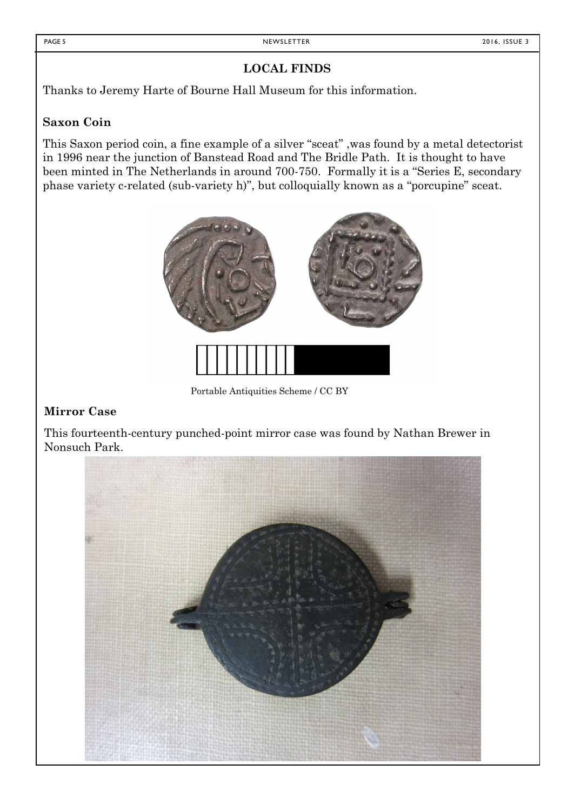## **LOCAL FINDS**

Thanks to Jeremy Harte of Bourne Hall Museum for this information.

# **Saxon Coin**

This Saxon period coin, a fine example of a silver "sceat" ,was found by a metal detectorist in 1996 near the junction of Banstead Road and The Bridle Path. It is thought to have been minted in The Netherlands in around 700-750. Formally it is a "Series E, secondary phase variety c-related (sub-variety h)", but colloquially known as a "porcupine" sceat.



Portable Antiquities Scheme / CC BY

#### **Mirror Case**

This fourteenth-century punched-point mirror case was found by Nathan Brewer in Nonsuch Park.

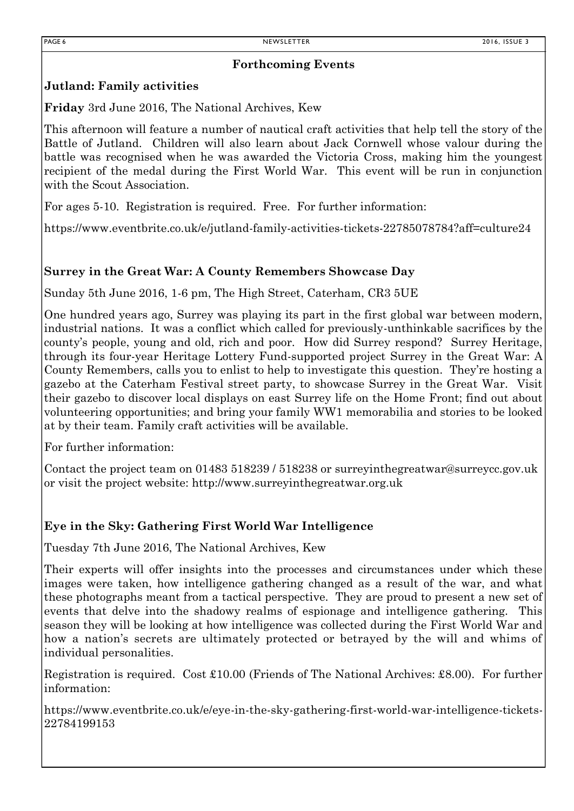#### **Forthcoming Events**

## **Jutland: Family activities**

**Friday** 3rd June 2016, The National Archives, Kew

This afternoon will feature a number of nautical craft activities that help tell the story of the Battle of Jutland. Children will also learn about Jack Cornwell whose valour during the battle was recognised when he was awarded the Victoria Cross, making him the youngest recipient of the medal during the First World War. This event will be run in conjunction with the Scout Association.

For ages 5-10. Registration is required. Free. For further information:

https://www.eventbrite.co.uk/e/jutland-family-activities-tickets-22785078784?aff=culture24

## **Surrey in the Great War: A County Remembers Showcase Day**

Sunday 5th June 2016, 1-6 pm, The High Street, Caterham, CR3 5UE

One hundred years ago, Surrey was playing its part in the first global war between modern, industrial nations. It was a conflict which called for previously-unthinkable sacrifices by the county's people, young and old, rich and poor. How did Surrey respond? Surrey Heritage, through its four-year Heritage Lottery Fund-supported project Surrey in the Great War: A County Remembers, calls you to enlist to help to investigate this question. They're hosting a gazebo at the Caterham Festival street party, to showcase Surrey in the Great War. Visit their gazebo to discover local displays on east Surrey life on the Home Front; find out about volunteering opportunities; and bring your family WW1 memorabilia and stories to be looked at by their team. Family craft activities will be available.

For further information:

Contact the project team on 01483 518239 / 518238 or surreyinthegreatwar@surreycc.gov.uk or visit the project website: http://www.surreyinthegreatwar.org.uk

# **Eye in the Sky: Gathering First World War Intelligence**

Tuesday 7th June 2016, The National Archives, Kew

Their experts will offer insights into the processes and circumstances under which these images were taken, how intelligence gathering changed as a result of the war, and what these photographs meant from a tactical perspective. They are proud to present a new set of events that delve into the shadowy realms of espionage and intelligence gathering. This season they will be looking at how intelligence was collected during the First World War and how a nation's secrets are ultimately protected or betrayed by the will and whims of individual personalities.

Registration is required. Cost £10.00 (Friends of The National Archives: £8.00). For further information:

https://www.eventbrite.co.uk/e/eye-in-the-sky-gathering-first-world-war-intelligence-tickets-22784199153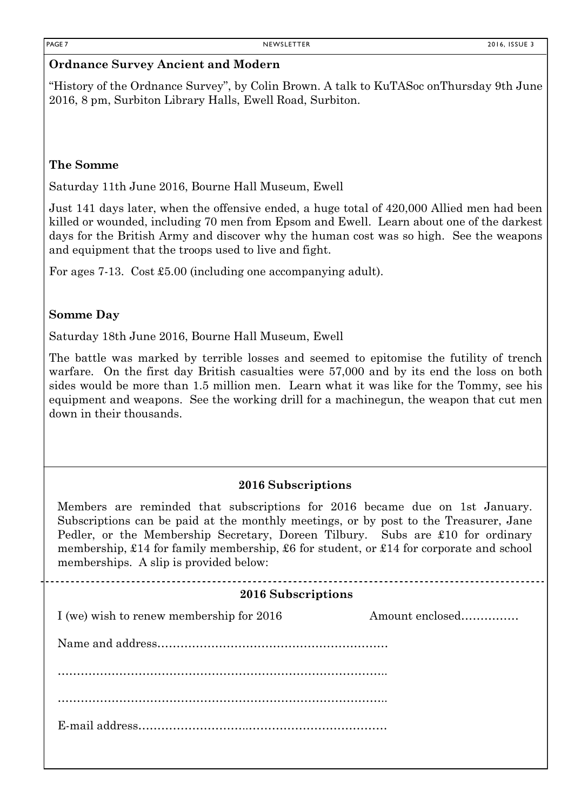#### **Ordnance Survey Ancient and Modern**

"History of the Ordnance Survey", by Colin Brown. A talk to KuTASoc onThursday 9th June 2016, 8 pm, Surbiton Library Halls, Ewell Road, Surbiton.

#### **The Somme**

Saturday 11th June 2016, Bourne Hall Museum, Ewell

Just 141 days later, when the offensive ended, a huge total of 420,000 Allied men had been killed or wounded, including 70 men from Epsom and Ewell. Learn about one of the darkest days for the British Army and discover why the human cost was so high. See the weapons and equipment that the troops used to live and fight.

For ages 7-13. Cost £5.00 (including one accompanying adult).

#### **Somme Day**

Saturday 18th June 2016, Bourne Hall Museum, Ewell

The battle was marked by terrible losses and seemed to epitomise the futility of trench warfare. On the first day British casualties were 57,000 and by its end the loss on both sides would be more than 1.5 million men. Learn what it was like for the Tommy, see his equipment and weapons. See the working drill for a machinegun, the weapon that cut men down in their thousands.

#### **2016 Subscriptions**

Members are reminded that subscriptions for 2016 became due on 1st January. Subscriptions can be paid at the monthly meetings, or by post to the Treasurer, Jane Pedler, or the Membership Secretary, Doreen Tilbury. Subs are £10 for ordinary membership, £14 for family membership, £6 for student, or £14 for corporate and school memberships. A slip is provided below:

#### **2016 Subscriptions**

I (we) wish to renew membership for 2016 Amount enclosed.........................

Name and address……………………………………………………

………………………………………………………………………….. …………………………………………………………………………..

E-mail address………………………..………………………………